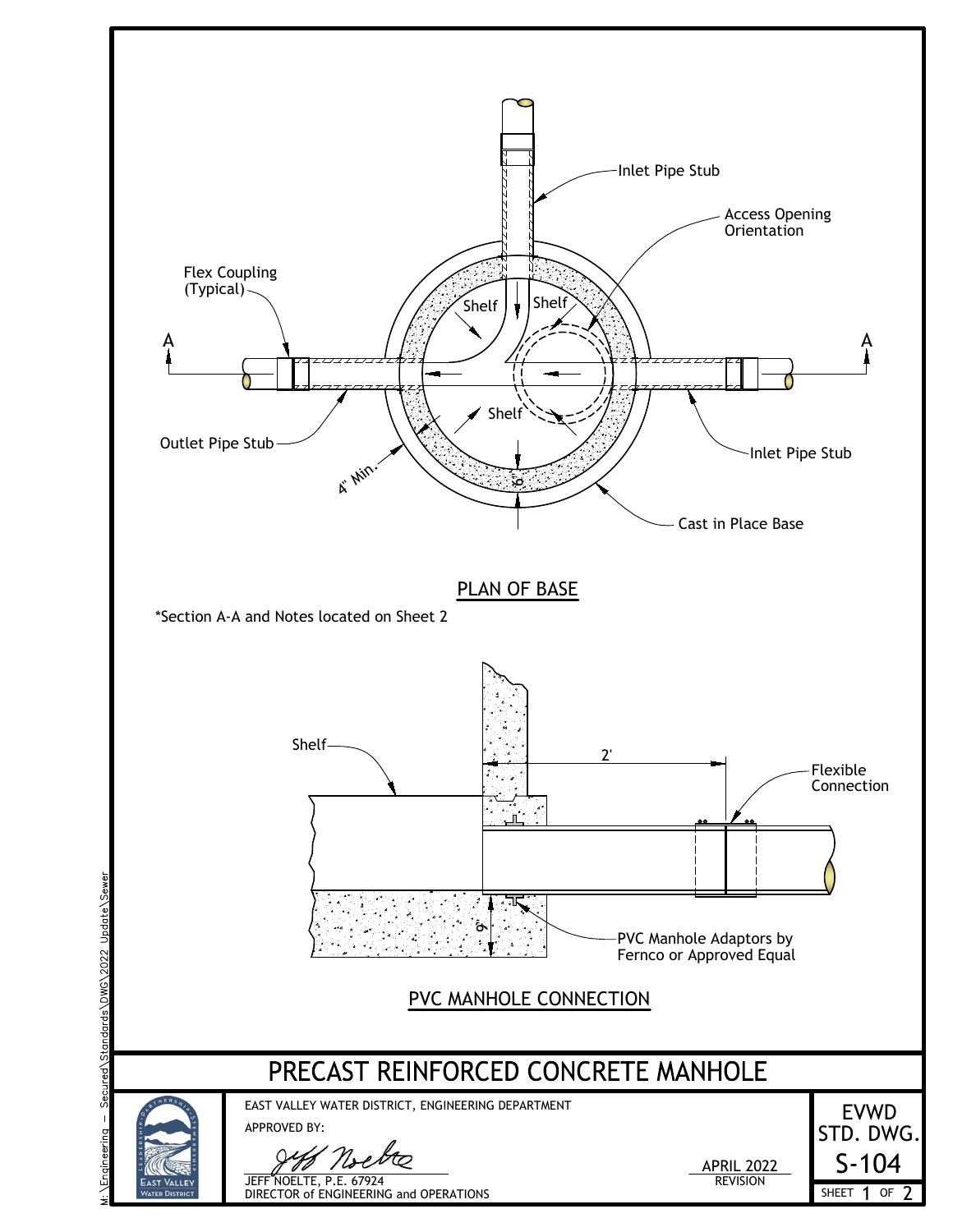

Secured\Standards\DWG\2022 Update\Sewer